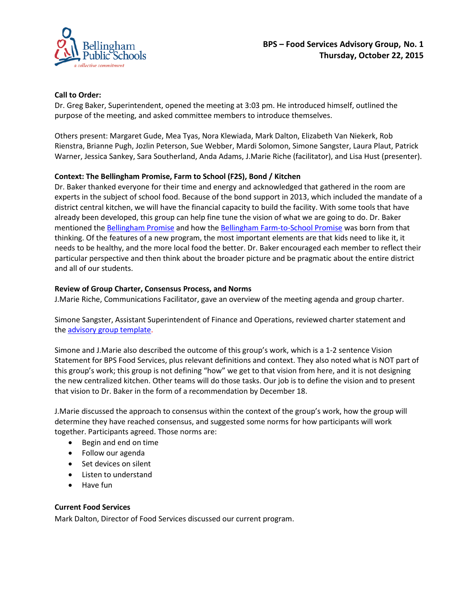

# **Call to Order:**

Dr. Greg Baker, Superintendent, opened the meeting at 3:03 pm. He introduced himself, outlined the purpose of the meeting, and asked committee members to introduce themselves.

Others present: Margaret Gude, Mea Tyas, Nora Klewiada, Mark Dalton, Elizabeth Van Niekerk, Rob Rienstra, Brianne Pugh, Jozlin Peterson, Sue Webber, Mardi Solomon, Simone Sangster, Laura Plaut, Patrick Warner, Jessica Sankey, Sara Southerland, Anda Adams, J.Marie Riche (facilitator), and Lisa Hust (presenter).

## **Context: The Bellingham Promise, Farm to School (F2S), Bond / Kitchen**

Dr. Baker thanked everyone for their time and energy and acknowledged that gathered in the room are experts in the subject of school food. Because of the bond support in 2013, which included the mandate of a district central kitchen, we will have the financial capacity to build the facility. With some tools that have already been developed, this group can help fine tune the vision of what we are going to do. Dr. Baker mentioned the [Bellingham Promise](http://bellinghamschools.org/sites/default/files/BhamPromiseFlyer2015.pdf) and how the [Bellingham Farm-to-School Promise](https://bellinghamschools.org/sites/default/files/Bellingham%20Farm%20to%20School%20Promise.pdf) was born from that thinking. Of the features of a new program, the most important elements are that kids need to like it, it needs to be healthy, and the more local food the better. Dr. Baker encouraged each member to reflect their particular perspective and then think about the broader picture and be pragmatic about the entire district and all of our students.

## **Review of Group Charter, Consensus Process, and Norms**

J.Marie Riche, Communications Facilitator, gave an overview of the meeting agenda and group charter.

Simone Sangster, Assistant Superintendent of Finance and Operations, reviewed charter statement and the [advisory group template.](https://bellinghamschools.org/food-services-advisory-group)

Simone and J.Marie also described the outcome of this group's work, which is a 1-2 sentence Vision Statement for BPS Food Services, plus relevant definitions and context. They also noted what is NOT part of this group's work; this group is not defining "how" we get to that vision from here, and it is not designing the new centralized kitchen. Other teams will do those tasks. Our job is to define the vision and to present that vision to Dr. Baker in the form of a recommendation by December 18.

J.Marie discussed the approach to consensus within the context of the group's work, how the group will determine they have reached consensus, and suggested some norms for how participants will work together. Participants agreed. Those norms are:

- Begin and end on time
- Follow our agenda
- Set devices on silent
- Listen to understand
- Have fun

# **Current Food Services**

Mark Dalton, Director of Food Services discussed our current program.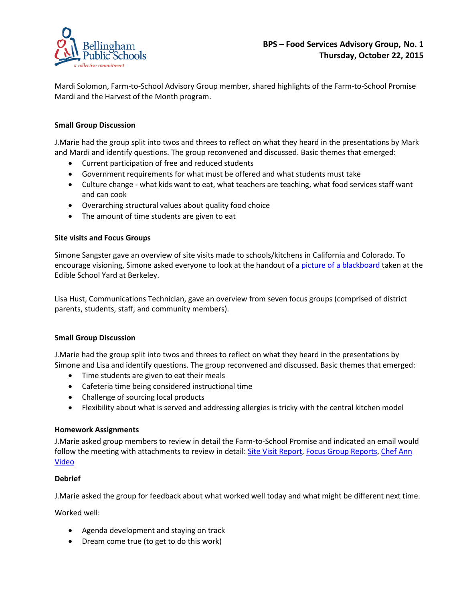

Mardi Solomon, Farm-to-School Advisory Group member, shared highlights of the Farm-to-School Promise Mardi and the Harvest of the Month program.

# **Small Group Discussion**

J.Marie had the group split into twos and threes to reflect on what they heard in the presentations by Mark and Mardi and identify questions. The group reconvened and discussed. Basic themes that emerged:

- Current participation of free and reduced students
- Government requirements for what must be offered and what students must take
- Culture change what kids want to eat, what teachers are teaching, what food services staff want and can cook
- Overarching structural values about quality food choice
- The amount of time students are given to eat

## **Site visits and Focus Groups**

Simone Sangster gave an overview of site visits made to schools/kitchens in California and Colorado. To encourage visioning, Simone asked everyone to look at the handout of a [picture of a blackboard](https://bellinghamschools.org/sites/default/files/Berkeley%20chalkboard.pdf) taken at the Edible School Yard at Berkeley.

Lisa Hust, Communications Technician, gave an overview from seven focus groups (comprised of district parents, students, staff, and community members).

# **Small Group Discussion**

J.Marie had the group split into twos and threes to reflect on what they heard in the presentations by Simone and Lisa and identify questions. The group reconvened and discussed. Basic themes that emerged:

- Time students are given to eat their meals
- Cafeteria time being considered instructional time
- Challenge of sourcing local products
- Flexibility about what is served and addressing allergies is tricky with the central kitchen model

# **Homework Assignments**

J.Marie asked group members to review in detail the Farm-to-School Promise and indicated an email would follow the meeting with attachments to review in detail: [Site Visit](https://bellinghamschools.org/sites/default/files/SiteVisit%20Report21oct15.pdf) Report, [Focus Group Reports,](https://bellinghamschools.org/sites/default/files/Focus%20Groups%20Report.pdf) Chef Ann [Video](http://www.chefannfoundation.org/)

# **Debrief**

J.Marie asked the group for feedback about what worked well today and what might be different next time.

Worked well:

- Agenda development and staying on track
- Dream come true (to get to do this work)